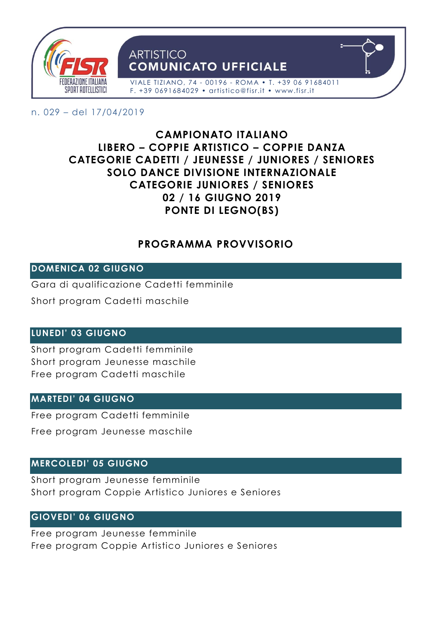

#### n. 029 – del 17/04/2019

# **CAMPIONATO ITALIANO LIBERO – COPPIE ARTISTICO – COPPIE DANZA CATEGORIE CADETTI / JEUNESSE / JUNIORES / SENIORES SOLO DANCE DIVISIONE INTERNAZIONALE CATEGORIE JUNIORES / SENIORES 02 / 16 GIUGNO 2019 PONTE DI LEGNO(BS)**

# **PROGRAMMA PROVVISORIO**

# **DOMENICA 02 GIUGNO**

Gara di qualificazione Cadetti femminile

Short program Cadetti maschile

## **LUNEDI' 03 GIUGNO**

Short program Cadetti femminile Short program Jeunesse maschile Free program Cadetti maschile

## **MARTEDI' 04 GIUGNO**

Free program Cadetti femminile

Free program Jeunesse maschile

## **MERCOLEDI' 05 GIUGNO**

Short program Jeunesse femminile Short program Coppie Artistico Juniores e Seniores

## **GIOVEDI' 06 GIUGNO**

Free program Jeunesse femminile Free program Coppie Artistico Juniores e Seniores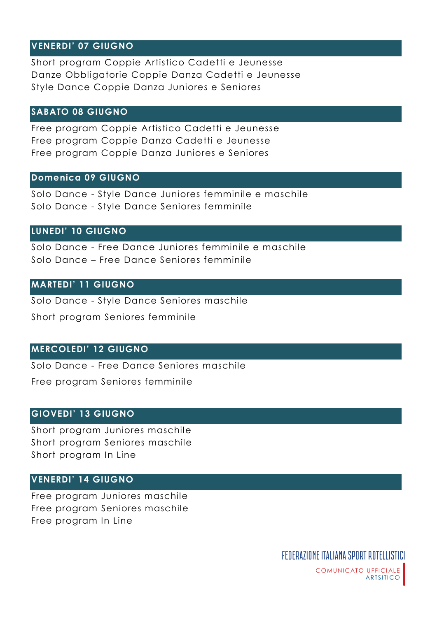## **VENERDI' 07 GIUGNO**

Short program Coppie Artistico Cadetti e Jeunesse Danze Obbligatorie Coppie Danza Cadetti e Jeunesse Style Dance Coppie Danza Juniores e Seniores

#### **SABATO 08 GIUGNO**

Free program Coppie Artistico Cadetti e Jeunesse Free program Coppie Danza Cadetti e Jeunesse Free program Coppie Danza Juniores e Seniores

#### **Domenica 09 GIUGNO**

Solo Dance - Style Dance Juniores femminile e maschile Solo Dance - Style Dance Seniores femminile

#### **LUNEDI' 10 GIUGNO**

Solo Dance - Free Dance Juniores femminile e maschile Solo Dance – Free Dance Seniores femminile

#### **MARTEDI' 11 GIUGNO**

Solo Dance - Style Dance Seniores maschile

Short program Seniores femminile

#### **MERCOLEDI' 12 GIUGNO**

Solo Dance - Free Dance Seniores maschile

Free program Seniores femminile

#### **GIOVEDI' 13 GIUGNO**

Short program Juniores maschile Short program Seniores maschile Short program In Line

## **VENERDI' 14 GIUGNO**

Free program Juniores maschile Free program Seniores maschile Free program In Line